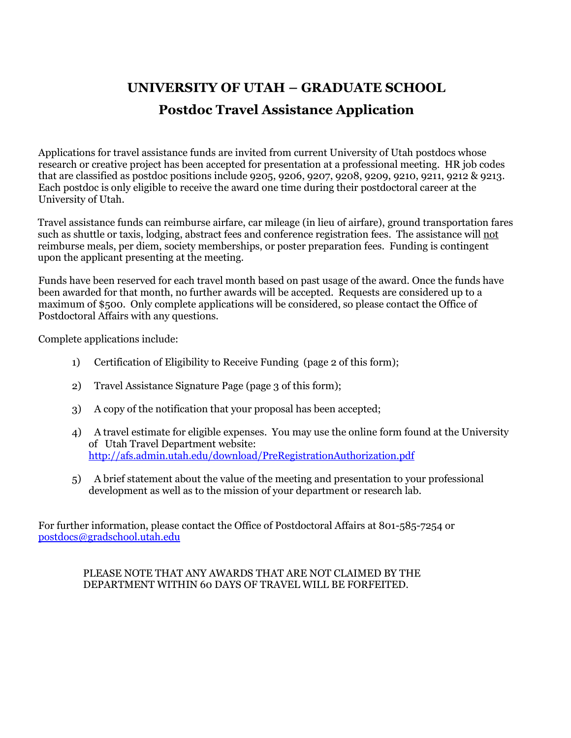# **UNIVERSITY OF UTAH – GRADUATE SCHOOL Postdoc Travel Assistance Application**

Applications for travel assistance funds are invited from current University of Utah postdocs whose research or creative project has been accepted for presentation at a professional meeting. HR job codes that are classified as postdoc positions include 9205, 9206, 9207, 9208, 9209, 9210, 9211, 9212 & 9213. Each postdoc is only eligible to receive the award one time during their postdoctoral career at the University of Utah.

Travel assistance funds can reimburse airfare, car mileage (in lieu of airfare), ground transportation fares such as shuttle or taxis, lodging, abstract fees and conference registration fees. The assistance will not reimburse meals, per diem, society memberships, or poster preparation fees. Funding is contingent upon the applicant presenting at the meeting.

Funds have been reserved for each travel month based on past usage of the award. Once the funds have been awarded for that month, no further awards will be accepted. Requests are considered up to a maximum of \$500. Only complete applications will be considered, so please contact the Office of Postdoctoral Affairs with any questions.

Complete applications include:

- 1) Certification of Eligibility to Receive Funding (page 2 of this form);
- 2) Travel Assistance Signature Page (page 3 of this form);
- 3) A copy of the notification that your proposal has been accepted;
- 4) A travel estimate for eligible expenses. You may use the online form found at the University of Utah Travel Department website: <http://afs.admin.utah.edu/download/PreRegistrationAuthorization.pdf>
- 5) A brief statement about the value of the meeting and presentation to your professional development as well as to the mission of your department or research lab.

For further information, please contact the Office of Postdoctoral Affairs at 801-585-7254 or [postdocs@gradschool.utah.edu](mailto:postdocs@gradschool.utah.edu)

#### PLEASE NOTE THAT ANY AWARDS THAT ARE NOT CLAIMED BY THE DEPARTMENT WITHIN 60 DAYS OF TRAVEL WILL BE FORFEITED.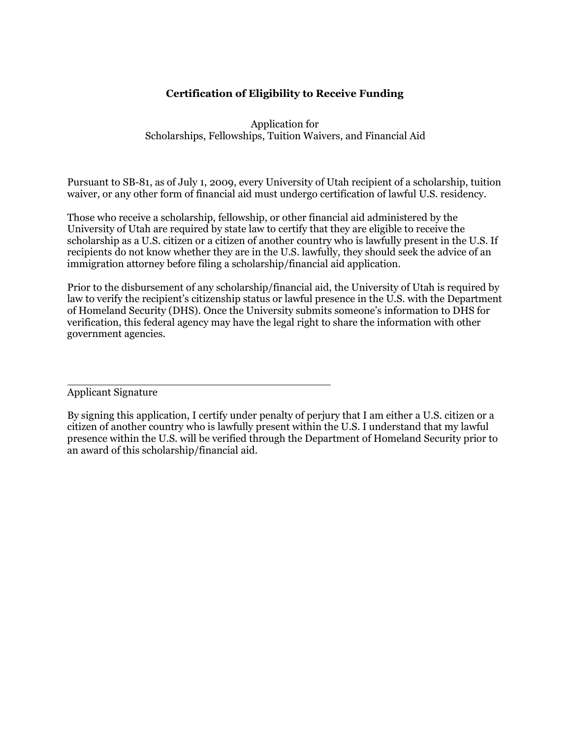#### **Certification of Eligibility to Receive Funding**

Application for Scholarships, Fellowships, Tuition Waivers, and Financial Aid

Pursuant to SB-81, as of July 1, 2009, every University of Utah recipient of a scholarship, tuition waiver, or any other form of financial aid must undergo certification of lawful U.S. residency.

Those who receive a scholarship, fellowship, or other financial aid administered by the University of Utah are required by state law to certify that they are eligible to receive the scholarship as a U.S. citizen or a citizen of another country who is lawfully present in the U.S. If recipients do not know whether they are in the U.S. lawfully, they should seek the advice of an immigration attorney before filing a scholarship/financial aid application.

Prior to the disbursement of any scholarship/financial aid, the University of Utah is required by law to verify the recipient's citizenship status or lawful presence in the U.S. with the Department of Homeland Security (DHS). Once the University submits someone's information to DHS for verification, this federal agency may have the legal right to share the information with other government agencies.

Applicant Signature

By signing this application, I certify under penalty of perjury that I am either a U.S. citizen or a citizen of another country who is lawfully present within the U.S. I understand that my lawful presence within the U.S. will be verified through the Department of Homeland Security prior to an award of this scholarship/financial aid.